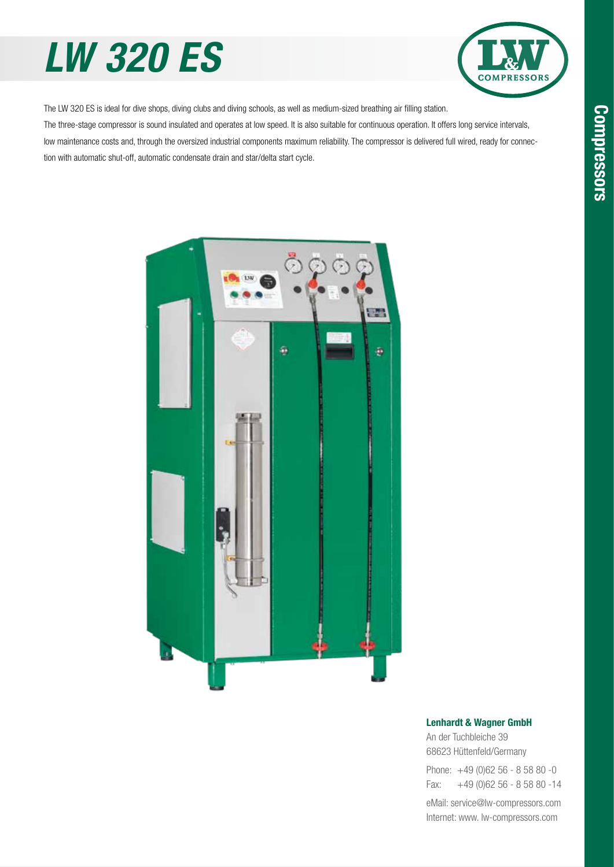## *LW 320 ES*



The LW 320 ES is ideal for dive shops, diving clubs and diving schools, as well as medium-sized breathing air filling station. The three-stage compressor is sound insulated and operates at low speed. It is also suitable for continuous operation. It offers long service intervals, low maintenance costs and, through the oversized industrial components maximum reliability. The compressor is delivered full wired, ready for connec-

tion with automatic shut-off, automatic condensate drain and star/delta start cycle.



#### Lenhardt & Wagner GmbH

An der Tuchbleiche 39 68623 Hüttenfeld / Germany Hüttenfeld/Germany

Phone: +49 (0)62 56 - 8 58 80 -0 Fax: +49 (0)62 56 - 8 58 80 -14 +49 (0)62 56 - 8 58 80 -14

eMail: service@lw-compressors.com Internet: www. lw-compressors.com